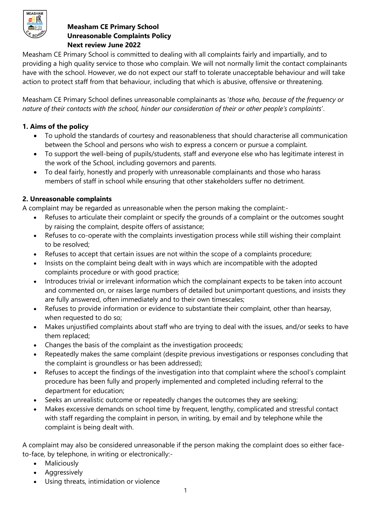

#### **Measham CE Primary School Unreasonable Complaints Policy Next review June 2022**

Measham CE Primary School is committed to dealing with all complaints fairly and impartially, and to providing a high quality service to those who complain. We will not normally limit the contact complainants have with the school. However, we do not expect our staff to tolerate unacceptable behaviour and will take action to protect staff from that behaviour, including that which is abusive, offensive or threatening.

Measham CE Primary School defines unreasonable complainants as '*those who, because of the frequency or nature of their contacts with the school, hinder our consideration of their or other people's complaints*'.

# **1. Aims of the policy**

- To uphold the standards of courtesy and reasonableness that should characterise all communication between the School and persons who wish to express a concern or pursue a complaint.
- To support the well-being of pupils/students, staff and everyone else who has legitimate interest in the work of the School, including governors and parents.
- To deal fairly, honestly and properly with unreasonable complainants and those who harass members of staff in school while ensuring that other stakeholders suffer no detriment.

# **2. Unreasonable complaints**

A complaint may be regarded as unreasonable when the person making the complaint:-

- Refuses to articulate their complaint or specify the grounds of a complaint or the outcomes sought by raising the complaint, despite offers of assistance;
- Refuses to co-operate with the complaints investigation process while still wishing their complaint to be resolved;
- Refuses to accept that certain issues are not within the scope of a complaints procedure;
- Insists on the complaint being dealt with in ways which are incompatible with the adopted complaints procedure or with good practice;
- Introduces trivial or irrelevant information which the complainant expects to be taken into account and commented on, or raises large numbers of detailed but unimportant questions, and insists they are fully answered, often immediately and to their own timescales;
- Refuses to provide information or evidence to substantiate their complaint, other than hearsay, when requested to do so;
- Makes unjustified complaints about staff who are trying to deal with the issues, and/or seeks to have them replaced;
- Changes the basis of the complaint as the investigation proceeds;
- Repeatedly makes the same complaint (despite previous investigations or responses concluding that the complaint is groundless or has been addressed);
- Refuses to accept the findings of the investigation into that complaint where the school's complaint procedure has been fully and properly implemented and completed including referral to the department for education;
- Seeks an unrealistic outcome or repeatedly changes the outcomes they are seeking;
- Makes excessive demands on school time by frequent, lengthy, complicated and stressful contact with staff regarding the complaint in person, in writing, by email and by telephone while the complaint is being dealt with.

A complaint may also be considered unreasonable if the person making the complaint does so either faceto-face, by telephone, in writing or electronically:-

- Maliciously
- Aggressively
- Using threats, intimidation or violence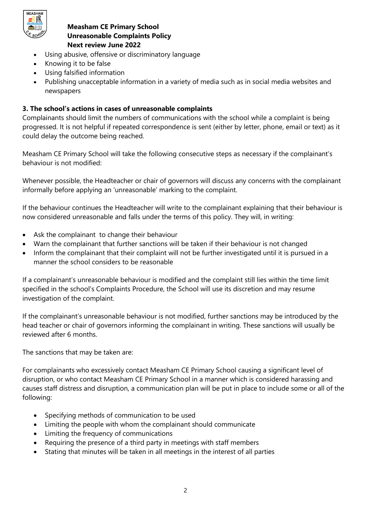

#### **Measham CE Primary School Unreasonable Complaints Policy Next review June 2022**

- Using abusive, offensive or discriminatory language
- Knowing it to be false
- Using falsified information
- Publishing unacceptable information in a variety of media such as in social media websites and newspapers

## **3. The school's actions in cases of unreasonable complaints**

Complainants should limit the numbers of communications with the school while a complaint is being progressed. It is not helpful if repeated correspondence is sent (either by letter, phone, email or text) as it could delay the outcome being reached.

Measham CE Primary School will take the following consecutive steps as necessary if the complainant's behaviour is not modified:

Whenever possible, the Headteacher or chair of governors will discuss any concerns with the complainant informally before applying an 'unreasonable' marking to the complaint.

If the behaviour continues the Headteacher will write to the complainant explaining that their behaviour is now considered unreasonable and falls under the terms of this policy. They will, in writing:

- Ask the complainant to change their behaviour
- Warn the complainant that further sanctions will be taken if their behaviour is not changed
- Inform the complainant that their complaint will not be further investigated until it is pursued in a manner the school considers to be reasonable

If a complainant's unreasonable behaviour is modified and the complaint still lies within the time limit specified in the school's Complaints Procedure, the School will use its discretion and may resume investigation of the complaint.

If the complainant's unreasonable behaviour is not modified, further sanctions may be introduced by the head teacher or chair of governors informing the complainant in writing. These sanctions will usually be reviewed after 6 months.

The sanctions that may be taken are:

For complainants who excessively contact Measham CE Primary School causing a significant level of disruption, or who contact Measham CE Primary School in a manner which is considered harassing and causes staff distress and disruption, a communication plan will be put in place to include some or all of the following:

- Specifying methods of communication to be used
- Limiting the people with whom the complainant should communicate
- Limiting the frequency of communications
- Requiring the presence of a third party in meetings with staff members
- Stating that minutes will be taken in all meetings in the interest of all parties